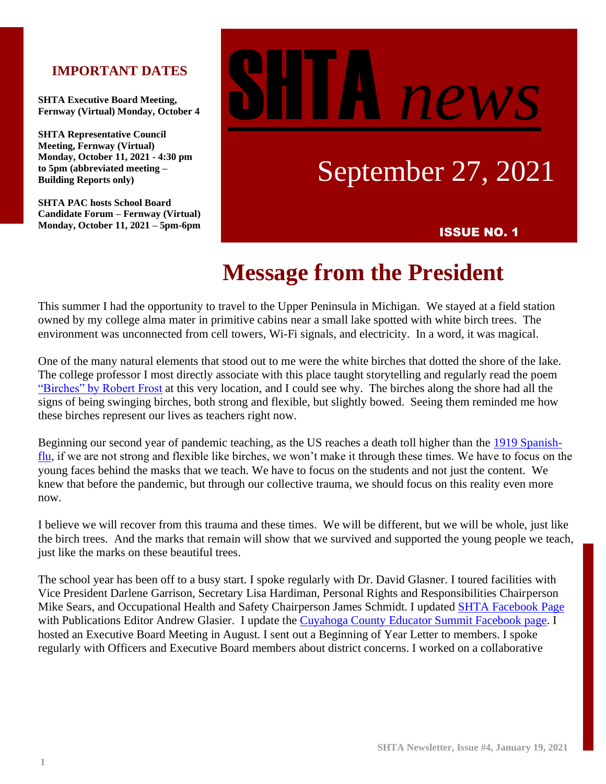### **IMPORTANT DATES**

**SHTA Executive Board Meeting, Fernway (Virtual) Monday, October 4**

**SHTA Representative Council Meeting, Fernway (Virtual) Monday, October 11, 2021 - 4:30 pm to 5pm (abbreviated meeting – Building Reports only)**

**SHTA PAC hosts School Board Candidate Forum – Fernway (Virtual) Monday, October 11, 2021 – 5pm-6pm** ISSUE NO. 1

# new

# September 27, 2021

# **Message from the President**

This summer I had the opportunity to travel to the Upper Peninsula in Michigan. We stayed at a field station owned by my college alma mater in primitive cabins near a small lake spotted with white birch trees. The environment was unconnected from cell towers, Wi-Fi signals, and electricity. In a word, it was magical.

One of the many natural elements that stood out to me were the white birches that dotted the shore of the lake. The college professor I most directly associate with this place taught storytelling and regularly read the poem ["Birches" by Robert Frost](https://www.poetryfoundation.org/poems/44260/birches) at this very location, and I could see why. The birches along the shore had all the signs of being swinging birches, both strong and flexible, but slightly bowed. Seeing them reminded me how these birches represent our lives as teachers right now.

Beginning our second year of pandemic teaching, as the US reaches a death toll higher than the [1919 Spanish](https://www.npr.org/sections/coronavirus-live-updates/2021/09/20/1039071274/covid-19-deaths-1918-19-flu-pandemic)[flu,](https://www.npr.org/sections/coronavirus-live-updates/2021/09/20/1039071274/covid-19-deaths-1918-19-flu-pandemic) if we are not strong and flexible like birches, we won't make it through these times. We have to focus on the young faces behind the masks that we teach. We have to focus on the students and not just the content. We knew that before the pandemic, but through our collective trauma, we should focus on this reality even more now.

I believe we will recover from this trauma and these times. We will be different, but we will be whole, just like the birch trees. And the marks that remain will show that we survived and supported the young people we teach, just like the marks on these beautiful trees.

The school year has been off to a busy start. I spoke regularly with Dr. David Glasner. I toured facilities with Vice President Darlene Garrison, Secretary Lisa Hardiman, Personal Rights and Responsibilities Chairperson Mike Sears, and Occupational Health and Safety Chairperson James Schmidt. I updated [SHTA Facebook Page](https://www.facebook.com/Shaker-Heights-Teachers-Association-205703666106954) with Publications Editor Andrew Glasier. I update the [Cuyahoga County Educator Summit Facebook page.](https://www.facebook.com/groups/CuyahogaEducators) I hosted an Executive Board Meeting in August. I sent out a Beginning of Year Letter to members. I spoke regularly with Officers and Executive Board members about district concerns. I worked on a collaborative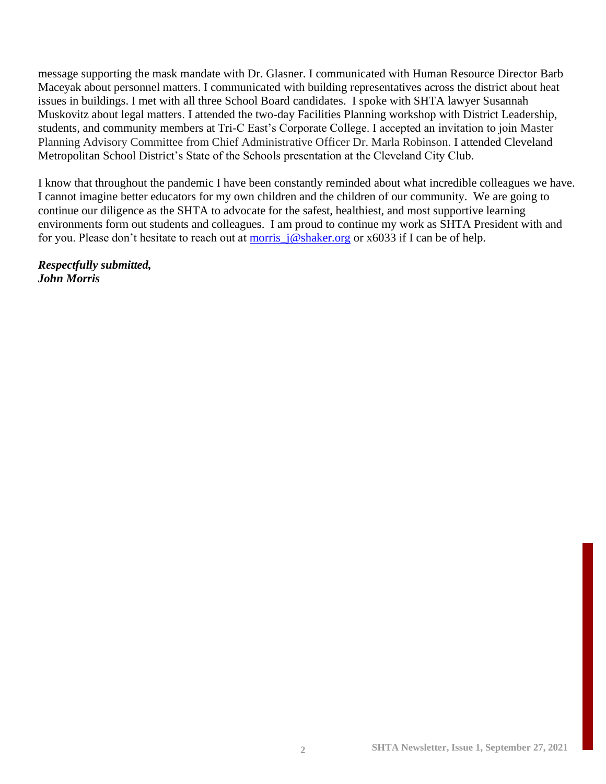message supporting the mask mandate with Dr. Glasner. I communicated with Human Resource Director Barb Maceyak about personnel matters. I communicated with building representatives across the district about heat issues in buildings. I met with all three School Board candidates. I spoke with SHTA lawyer Susannah Muskovitz about legal matters. I attended the two-day Facilities Planning workshop with District Leadership, students, and community members at Tri-C East's Corporate College. I accepted an invitation to join Master Planning Advisory Committee from Chief Administrative Officer Dr. Marla Robinson. I attended Cleveland Metropolitan School District's State of the Schools presentation at the Cleveland City Club.

I know that throughout the pandemic I have been constantly reminded about what incredible colleagues we have. I cannot imagine better educators for my own children and the children of our community. We are going to continue our diligence as the SHTA to advocate for the safest, healthiest, and most supportive learning environments form out students and colleagues. I am proud to continue my work as SHTA President with and for you. Please don't hesitate to reach out at [morris\\_j@shaker.org](mailto:morris_j@shaker.org) or x6033 if I can be of help.

*Respectfully submitted, John Morris*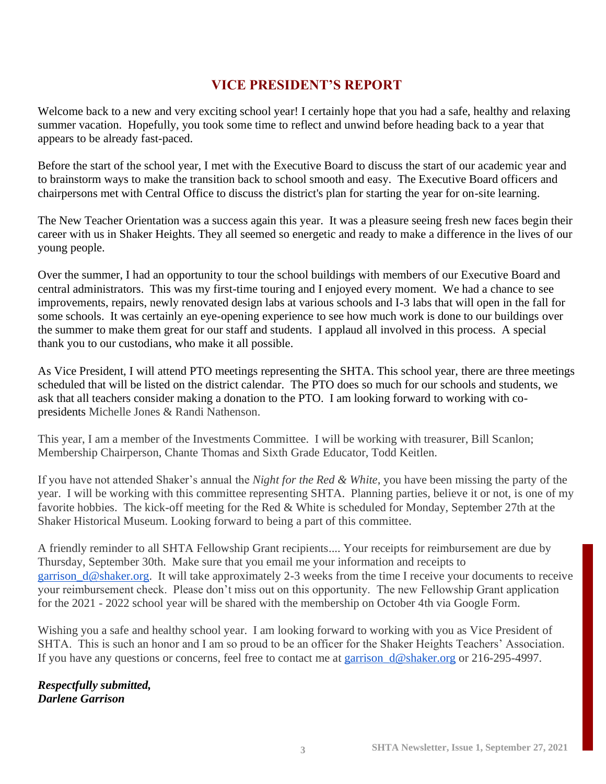### **VICE PRESIDENT'S REPORT**

Welcome back to a new and very exciting school year! I certainly hope that you had a safe, healthy and relaxing summer vacation. Hopefully, you took some time to reflect and unwind before heading back to a year that appears to be already fast-paced.

Before the start of the school year, I met with the Executive Board to discuss the start of our academic year and to brainstorm ways to make the transition back to school smooth and easy. The Executive Board officers and chairpersons met with Central Office to discuss the district's plan for starting the year for on-site learning.

The New Teacher Orientation was a success again this year. It was a pleasure seeing fresh new faces begin their career with us in Shaker Heights. They all seemed so energetic and ready to make a difference in the lives of our young people.

Over the summer, I had an opportunity to tour the school buildings with members of our Executive Board and central administrators. This was my first-time touring and I enjoyed every moment. We had a chance to see improvements, repairs, newly renovated design labs at various schools and I-3 labs that will open in the fall for some schools. It was certainly an eye-opening experience to see how much work is done to our buildings over the summer to make them great for our staff and students. I applaud all involved in this process. A special thank you to our custodians, who make it all possible.

As Vice President, I will attend PTO meetings representing the SHTA. This school year, there are three meetings scheduled that will be listed on the district calendar. The PTO does so much for our schools and students, we ask that all teachers consider making a donation to the PTO. I am looking forward to working with copresidents Michelle Jones & Randi Nathenson.

This year, I am a member of the Investments Committee. I will be working with treasurer, Bill Scanlon; Membership Chairperson, Chante Thomas and Sixth Grade Educator, Todd Keitlen.

If you have not attended Shaker's annual the *Night for the Red & White*, you have been missing the party of the year. I will be working with this committee representing SHTA. Planning parties, believe it or not, is one of my favorite hobbies. The kick-off meeting for the Red & White is scheduled for Monday, September 27th at the Shaker Historical Museum. Looking forward to being a part of this committee.

A friendly reminder to all SHTA Fellowship Grant recipients.... Your receipts for reimbursement are due by Thursday, September 30th. Make sure that you email me your information and receipts to [garrison\\_d@shaker.org.](mailto:garrison_d@shaker.org) It will take approximately 2-3 weeks from the time I receive your documents to receive your reimbursement check. Please don't miss out on this opportunity. The new Fellowship Grant application for the 2021 - 2022 school year will be shared with the membership on October 4th via Google Form.

Wishing you a safe and healthy school year. I am looking forward to working with you as Vice President of SHTA. This is such an honor and I am so proud to be an officer for the Shaker Heights Teachers' Association. If you have any questions or concerns, feel free to contact me at garrison  $d@shaker.org$  or 216-295-4997.

*Respectfully submitted, Darlene Garrison*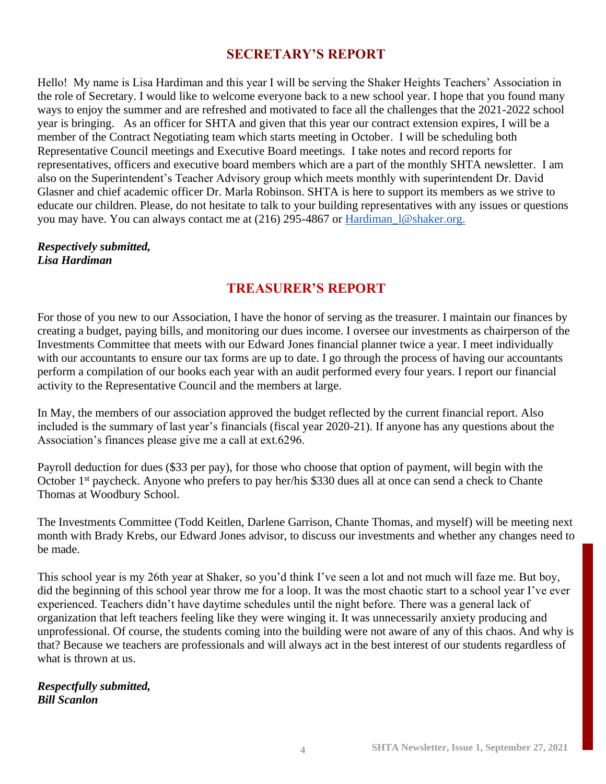### **SECRETARY'S REPORT**

Hello! My name is Lisa Hardiman and this year I will be serving the Shaker Heights Teachers' Association in the role of Secretary. I would like to welcome everyone back to a new school year. I hope that you found many ways to enjoy the summer and are refreshed and motivated to face all the challenges that the 2021-2022 school year is bringing. As an officer for SHTA and given that this year our contract extension expires, I will be a member of the Contract Negotiating team which starts meeting in October. I will be scheduling both Representative Council meetings and Executive Board meetings. I take notes and record reports for representatives, officers and executive board members which are a part of the monthly SHTA newsletter. I am also on the Superintendent's Teacher Advisory group which meets monthly with superintendent Dr. David Glasner and chief academic officer Dr. Marla Robinson. SHTA is here to support its members as we strive to educate our children. Please, do not hesitate to talk to your building representatives with any issues or questions you may have. You can always contact me at (216) 295-4867 or [Hardiman\\_l@shaker.org.](mailto:Hardiman_l@shaker.org)

### *Respectively submitted, Lisa Hardiman*

### **TREASURER'S REPORT**

For those of you new to our Association, I have the honor of serving as the treasurer. I maintain our finances by creating a budget, paying bills, and monitoring our dues income. I oversee our investments as chairperson of the Investments Committee that meets with our Edward Jones financial planner twice a year. I meet individually with our accountants to ensure our tax forms are up to date. I go through the process of having our accountants perform a compilation of our books each year with an audit performed every four years. I report our financial activity to the Representative Council and the members at large.

In May, the members of our association approved the budget reflected by the current financial report. Also included is the summary of last year's financials (fiscal year 2020-21). If anyone has any questions about the Association's finances please give me a call at ext.6296.

Payroll deduction for dues (\$33 per pay), for those who choose that option of payment, will begin with the October 1<sup>st</sup> paycheck. Anyone who prefers to pay her/his \$330 dues all at once can send a check to Chante Thomas at Woodbury School.

The Investments Committee (Todd Keitlen, Darlene Garrison, Chante Thomas, and myself) will be meeting next month with Brady Krebs, our Edward Jones advisor, to discuss our investments and whether any changes need to be made.

This school year is my 26th year at Shaker, so you'd think I've seen a lot and not much will faze me. But boy, did the beginning of this school year throw me for a loop. It was the most chaotic start to a school year I've ever experienced. Teachers didn't have daytime schedules until the night before. There was a general lack of organization that left teachers feeling like they were winging it. It was unnecessarily anxiety producing and unprofessional. Of course, the students coming into the building were not aware of any of this chaos. And why is that? Because we teachers are professionals and will always act in the best interest of our students regardless of what is thrown at us.

### *Respectfully submitted, Bill Scanlon*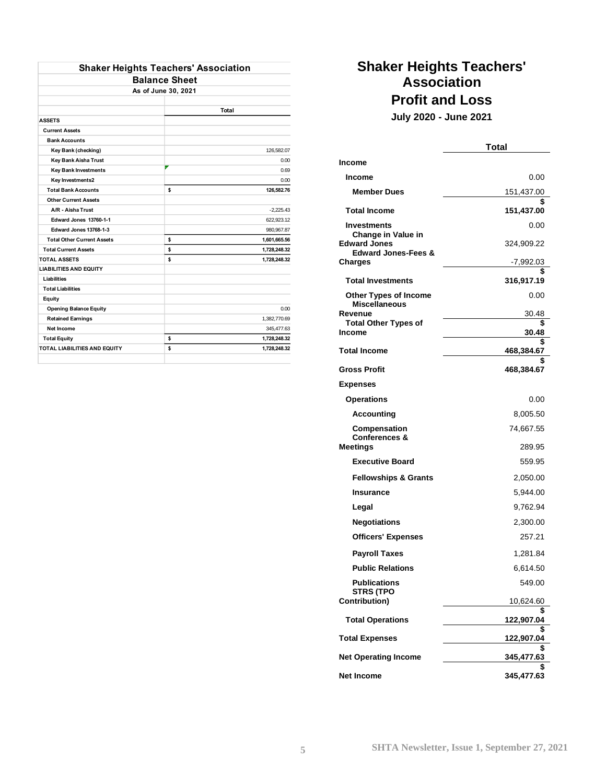| <b>Shaker Heights Teachers' Association</b> |                      |              |
|---------------------------------------------|----------------------|--------------|
|                                             | <b>Balance Sheet</b> |              |
| As of June 30, 2021                         |                      |              |
|                                             |                      |              |
|                                             |                      | Total        |
| <b>ASSETS</b>                               |                      |              |
| <b>Current Assets</b>                       |                      |              |
| <b>Bank Accounts</b>                        |                      |              |
| Key Bank (checking)                         |                      | 126,582.07   |
| Key Bank Aisha Trust                        |                      | 0.00         |
| <b>Key Bank Investments</b>                 |                      | 0.69         |
| Key Investments2                            |                      | 0.00         |
| <b>Total Bank Accounts</b>                  | \$                   | 126,582.76   |
| <b>Other Current Assets</b>                 |                      |              |
| A/R - Aisha Trust                           |                      | $-2,225.43$  |
| <b>Edward Jones 13760-1-1</b>               |                      | 622,923.12   |
| Edward Jones 13768-1-3                      |                      | 980,967.87   |
| <b>Total Other Current Assets</b>           | \$                   | 1,601,665.56 |
| <b>Total Current Assets</b>                 | \$                   | 1,728,248.32 |
| <b>TOTAL ASSETS</b>                         | \$                   | 1,728,248.32 |
| <b>LIABILITIES AND EQUITY</b>               |                      |              |
| Liabilities                                 |                      |              |
| <b>Total Liabilities</b>                    |                      |              |
| Equity                                      |                      |              |
| <b>Opening Balance Equity</b>               |                      | 0.00         |
| <b>Retained Earnings</b>                    |                      | 1,382,770.69 |
| Net Income                                  |                      | 345,477.63   |
| <b>Total Equity</b>                         | \$                   | 1,728,248.32 |
| <b>TOTAL LIABILITIES AND EQUITY</b>         | \$                   | 1.728.248.32 |
|                                             |                      |              |

### **Shaker Heights Teachers' Association Profit and Loss**

**July 2020 - June 2021**

|                                               | Total            |
|-----------------------------------------------|------------------|
| Income                                        |                  |
| Income                                        | 0.00             |
| <b>Member Dues</b>                            | 151,437.00       |
| <b>Total Income</b>                           | \$<br>151,437.00 |
| <b>Investments</b>                            | 0.00             |
| Change in Value in<br><b>Edward Jones</b>     | 324,909.22       |
| <b>Edward Jones-Fees &amp;</b><br>Charges     | -7.992.03        |
| <b>Total Investments</b>                      | 316,917.19       |
| Other Types of Income<br><b>Miscellaneous</b> | 0.00             |
| Revenue                                       | 30.48            |
| <b>Total Other Types of</b><br>Income         | \$<br>30.48      |
| <b>Total Income</b>                           | \$<br>468,384.67 |
|                                               | S                |
| <b>Gross Profit</b>                           | 468,384.67       |
| <b>Expenses</b>                               |                  |
| <b>Operations</b>                             | 0.00             |
| <b>Accounting</b>                             | 8,005.50         |
| Compensation<br><b>Conferences &amp;</b>      | 74,667.55        |
| Meetings                                      | 289.95           |
| <b>Executive Board</b>                        | 559.95           |
| <b>Fellowships &amp; Grants</b>               | 2,050.00         |
| Insurance                                     | 5,944.00         |
| Legal                                         | 9,762.94         |
| <b>Negotiations</b>                           | 2,300.00         |
| <b>Officers' Expenses</b>                     | 257.21           |
| <b>Payroll Taxes</b>                          | 1,281.84         |
| <b>Public Relations</b>                       | 6,614.50         |
| <b>Publications</b><br><b>STRS (TPO</b>       | 549.00           |
| Contribution)                                 | 10,624.60        |
| <b>Total Operations</b>                       | \$<br>122,907.04 |
| <b>Total Expenses</b>                         | \$<br>122,907.04 |
| <b>Net Operating Income</b>                   | \$<br>345,477.63 |
|                                               |                  |
| Net Income                                    | 345,477.63       |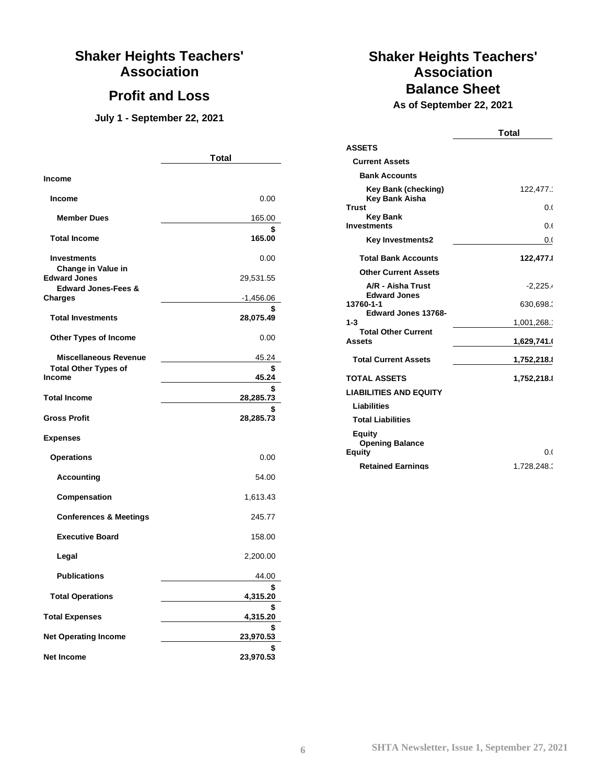### **Shaker Heights Teachers' Association**

### **Profit and Loss**

**July 1 - September 22, 2021**

|                                                                              | <b>Total</b>    |  |
|------------------------------------------------------------------------------|-----------------|--|
| <b>Income</b>                                                                |                 |  |
| <b>Income</b>                                                                | 0.00            |  |
| <b>Member Dues</b>                                                           | 165.00          |  |
| <b>Total Income</b>                                                          | 165.00          |  |
| <b>Investments</b>                                                           | 0.00            |  |
| Change in Value in<br><b>Edward Jones</b>                                    | 29,531.55       |  |
| <b>Edward Jones-Fees &amp;</b><br><b>Charges</b>                             | -1,456.06       |  |
| <b>Total Investments</b>                                                     | \$<br>28,075.49 |  |
| <b>Other Types of Income</b>                                                 | 0.00            |  |
| <b>Miscellaneous Revenue</b><br><b>Total Other Types of</b><br><b>Income</b> | 45.24           |  |
|                                                                              | \$<br>45.24     |  |
| <b>Total Income</b>                                                          | \$<br>28,285.73 |  |
| <b>Gross Profit</b>                                                          | \$<br>28,285.73 |  |
| <b>Expenses</b>                                                              |                 |  |
| <b>Operations</b>                                                            | 0.00            |  |
| <b>Accounting</b>                                                            | 54.00           |  |
| Compensation                                                                 | 1,613.43        |  |
| <b>Conferences &amp; Meetings</b>                                            | 245.77          |  |
| <b>Executive Board</b>                                                       | 158.00          |  |
| Legal                                                                        | 2,200.00        |  |
| <b>Publications</b>                                                          | 44.00           |  |
| <b>Total Operations</b>                                                      | 4,315.20        |  |
| <b>Total Expenses</b>                                                        | 4,315.20        |  |
| <b>Net Operating Income</b>                                                  | \$<br>23,970.53 |  |
| <b>Net Income</b>                                                            | \$<br>23,970.53 |  |

## **Shaker Heights Teachers' Association Balance Sheet**

**As of September 22, 2021**

|                                              | <b>Total</b> |
|----------------------------------------------|--------------|
| <b>ASSETS</b>                                |              |
| <b>Current Assets</b>                        |              |
| <b>Bank Accounts</b>                         |              |
| <b>Key Bank (checking)</b><br>Key Bank Aisha | 122,477.     |
| <b>Trust</b>                                 | 0.0          |
| <b>Key Bank</b><br><b>Investments</b>        | 0.E          |
| <b>Key Investments2</b>                      | 0.0          |
| <b>Total Bank Accounts</b>                   | 122,477.     |
| <b>Other Current Assets</b>                  |              |
| A/R - Aisha Trust<br><b>Edward Jones</b>     | $-2,225.4$   |
| 13760-1-1<br><b>Edward Jones 13768-</b>      | 630,698.     |
| $1 - 3$                                      | 1,001,268.   |
| <b>Total Other Current</b><br><b>Assets</b>  | 1,629,741.   |
| <b>Total Current Assets</b>                  | 1,752,218.1  |
| <b>TOTAL ASSETS</b>                          | 1,752,218.1  |
| <b>LIABILITIES AND EQUITY</b>                |              |
| <b>Liabilities</b>                           |              |
| <b>Total Liabilities</b>                     |              |
| Equity<br><b>Opening Balance</b>             |              |
| Equity                                       | 0.0          |
| <b>Retained Earnings</b>                     | 1.728.248.   |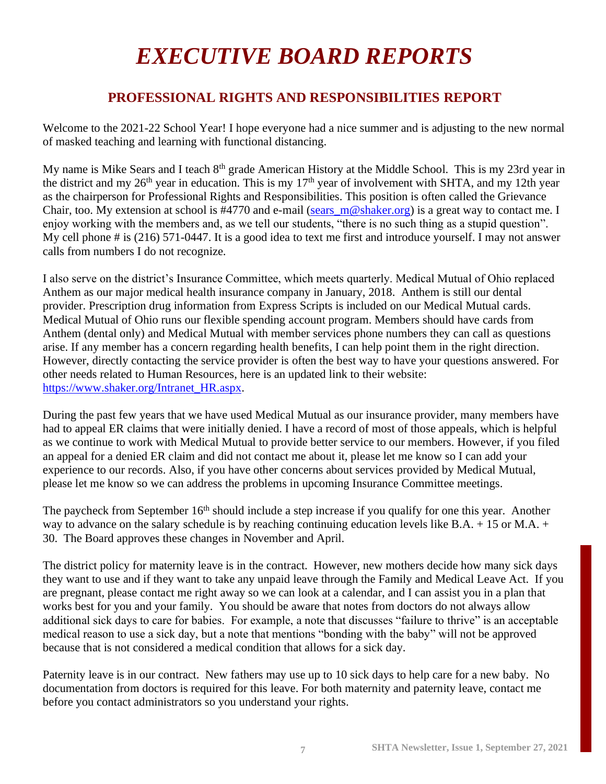# *EXECUTIVE BOARD REPORTS*

### **PROFESSIONAL RIGHTS AND RESPONSIBILITIES REPORT**

Welcome to the 2021-22 School Year! I hope everyone had a nice summer and is adjusting to the new normal of masked teaching and learning with functional distancing.

My name is Mike Sears and I teach 8<sup>th</sup> grade American History at the Middle School. This is my 23rd year in the district and my 26<sup>th</sup> year in education. This is my 17<sup>th</sup> year of involvement with SHTA, and my 12th year as the chairperson for Professional Rights and Responsibilities. This position is often called the Grievance Chair, too. My extension at school is #4770 and e-mail (sears\_m@shaker.org) is a great way to contact me. I enjoy working with the members and, as we tell our students, "there is no such thing as a stupid question". My cell phone # is (216) 571-0447. It is a good idea to text me first and introduce yourself. I may not answer calls from numbers I do not recognize.

I also serve on the district's Insurance Committee, which meets quarterly. Medical Mutual of Ohio replaced Anthem as our major medical health insurance company in January, 2018. Anthem is still our dental provider. Prescription drug information from Express Scripts is included on our Medical Mutual cards. Medical Mutual of Ohio runs our flexible spending account program. Members should have cards from Anthem (dental only) and Medical Mutual with member services phone numbers they can call as questions arise. If any member has a concern regarding health benefits, I can help point them in the right direction. However, directly contacting the service provider is often the best way to have your questions answered. For other needs related to Human Resources, here is an updated link to their website: https://www.shaker.org/Intranet\_HR.aspx.

During the past few years that we have used Medical Mutual as our insurance provider, many members have had to appeal ER claims that were initially denied. I have a record of most of those appeals, which is helpful as we continue to work with Medical Mutual to provide better service to our members. However, if you filed an appeal for a denied ER claim and did not contact me about it, please let me know so I can add your experience to our records. Also, if you have other concerns about services provided by Medical Mutual, please let me know so we can address the problems in upcoming Insurance Committee meetings.

The paycheck from September 16<sup>th</sup> should include a step increase if you qualify for one this year. Another way to advance on the salary schedule is by reaching continuing education levels like B.A. + 15 or M.A. + 30. The Board approves these changes in November and April.

The district policy for maternity leave is in the contract. However, new mothers decide how many sick days they want to use and if they want to take any unpaid leave through the Family and Medical Leave Act. If you are pregnant, please contact me right away so we can look at a calendar, and I can assist you in a plan that works best for you and your family. You should be aware that notes from doctors do not always allow additional sick days to care for babies. For example, a note that discusses "failure to thrive" is an acceptable medical reason to use a sick day, but a note that mentions "bonding with the baby" will not be approved because that is not considered a medical condition that allows for a sick day.

Paternity leave is in our contract. New fathers may use up to 10 sick days to help care for a new baby. No documentation from doctors is required for this leave. For both maternity and paternity leave, contact me before you contact administrators so you understand your rights.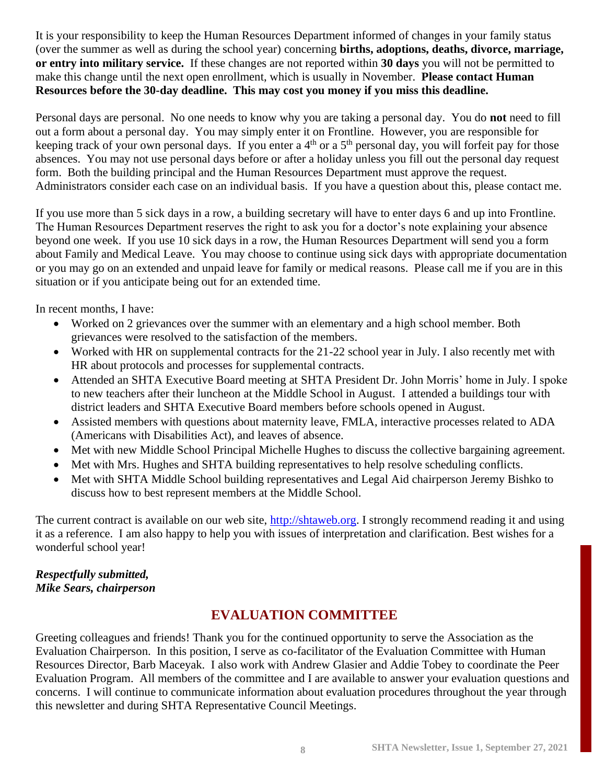It is your responsibility to keep the Human Resources Department informed of changes in your family status (over the summer as well as during the school year) concerning **births, adoptions, deaths, divorce, marriage, or entry into military service.** If these changes are not reported within **30 days** you will not be permitted to make this change until the next open enrollment, which is usually in November. **Please contact Human Resources before the 30-day deadline. This may cost you money if you miss this deadline.**

Personal days are personal. No one needs to know why you are taking a personal day. You do **not** need to fill out a form about a personal day. You may simply enter it on Frontline. However, you are responsible for keeping track of your own personal days. If you enter a 4<sup>th</sup> or a 5<sup>th</sup> personal day, you will forfeit pay for those absences. You may not use personal days before or after a holiday unless you fill out the personal day request form. Both the building principal and the Human Resources Department must approve the request. Administrators consider each case on an individual basis. If you have a question about this, please contact me.

If you use more than 5 sick days in a row, a building secretary will have to enter days 6 and up into Frontline. The Human Resources Department reserves the right to ask you for a doctor's note explaining your absence beyond one week. If you use 10 sick days in a row, the Human Resources Department will send you a form about Family and Medical Leave. You may choose to continue using sick days with appropriate documentation or you may go on an extended and unpaid leave for family or medical reasons. Please call me if you are in this situation or if you anticipate being out for an extended time.

In recent months, I have:

- Worked on 2 grievances over the summer with an elementary and a high school member. Both grievances were resolved to the satisfaction of the members.
- Worked with HR on supplemental contracts for the 21-22 school year in July. I also recently met with HR about protocols and processes for supplemental contracts.
- Attended an SHTA Executive Board meeting at SHTA President Dr. John Morris' home in July. I spoke to new teachers after their luncheon at the Middle School in August. I attended a buildings tour with district leaders and SHTA Executive Board members before schools opened in August.
- Assisted members with questions about maternity leave, FMLA, interactive processes related to ADA (Americans with Disabilities Act), and leaves of absence.
- Met with new Middle School Principal Michelle Hughes to discuss the collective bargaining agreement.
- Met with Mrs. Hughes and SHTA building representatives to help resolve scheduling conflicts.
- Met with SHTA Middle School building representatives and Legal Aid chairperson Jeremy Bishko to discuss how to best represent members at the Middle School.

The current contract is available on our web site, [http://shtaweb.org.](http://shtaweb.org/) I strongly recommend reading it and using it as a reference. I am also happy to help you with issues of interpretation and clarification. Best wishes for a wonderful school year!

### *Respectfully submitted, Mike Sears, chairperson*

### **EVALUATION COMMITTEE**

Greeting colleagues and friends! Thank you for the continued opportunity to serve the Association as the Evaluation Chairperson. In this position, I serve as co-facilitator of the Evaluation Committee with Human Resources Director, Barb Maceyak. I also work with Andrew Glasier and Addie Tobey to coordinate the Peer Evaluation Program. All members of the committee and I are available to answer your evaluation questions and concerns. I will continue to communicate information about evaluation procedures throughout the year through this newsletter and during SHTA Representative Council Meetings.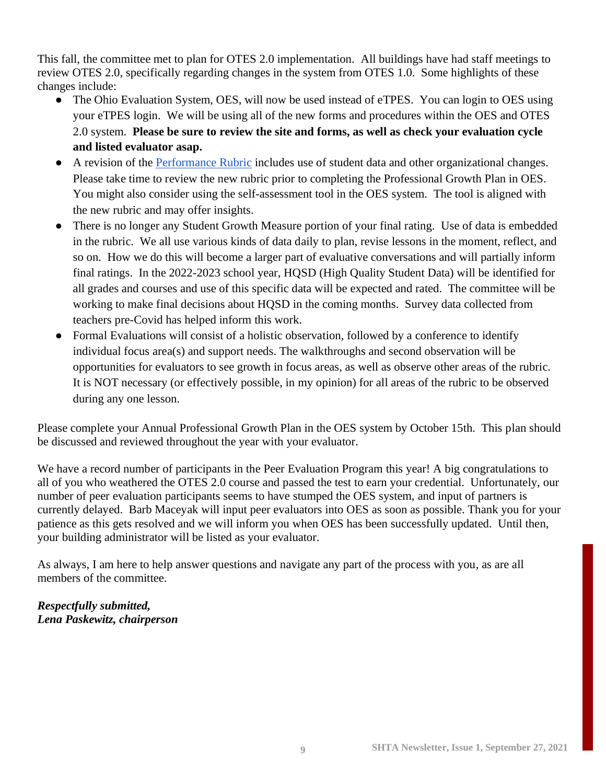This fall, the committee met to plan for OTES 2.0 implementation. All buildings have had staff meetings to review OTES 2.0, specifically regarding changes in the system from OTES 1.0. Some highlights of these changes include:

- The Ohio Evaluation System, OES, will now be used instead of eTPES. You can login to OES using your eTPES login. We will be using all of the new forms and procedures within the OES and OTES 2.0 system. **Please be sure to review the site and forms, as well as check your evaluation cycle and listed evaluator asap.**
- A revision of the [Performance Rubric](http://education.ohio.gov/getattachment/Topics/Teaching/Educator-Evaluation-System/Ohio-s-Teacher-Evaluation-System/OTES-2-0/Ohio-Teacher-Performance-Evaluation-Rubric-OTES-2-0.pdf.aspx?lang=en-US) includes use of student data and other organizational changes. Please take time to review the new rubric prior to completing the Professional Growth Plan in OES. You might also consider using the self-assessment tool in the OES system. The tool is aligned with the new rubric and may offer insights.
- There is no longer any Student Growth Measure portion of your final rating. Use of data is embedded in the rubric. We all use various kinds of data daily to plan, revise lessons in the moment, reflect, and so on. How we do this will become a larger part of evaluative conversations and will partially inform final ratings. In the 2022-2023 school year, HQSD (High Quality Student Data) will be identified for all grades and courses and use of this specific data will be expected and rated. The committee will be working to make final decisions about HQSD in the coming months. Survey data collected from teachers pre-Covid has helped inform this work.
- Formal Evaluations will consist of a holistic observation, followed by a conference to identify individual focus area(s) and support needs. The walkthroughs and second observation will be opportunities for evaluators to see growth in focus areas, as well as observe other areas of the rubric. It is NOT necessary (or effectively possible, in my opinion) for all areas of the rubric to be observed during any one lesson.

Please complete your Annual Professional Growth Plan in the OES system by October 15th. This plan should be discussed and reviewed throughout the year with your evaluator.

We have a record number of participants in the Peer Evaluation Program this year! A big congratulations to all of you who weathered the OTES 2.0 course and passed the test to earn your credential. Unfortunately, our number of peer evaluation participants seems to have stumped the OES system, and input of partners is currently delayed. Barb Maceyak will input peer evaluators into OES as soon as possible. Thank you for your patience as this gets resolved and we will inform you when OES has been successfully updated. Until then, your building administrator will be listed as your evaluator.

As always, I am here to help answer questions and navigate any part of the process with you, as are all members of the committee.

### *Respectfully submitted, Lena Paskewitz, chairperson*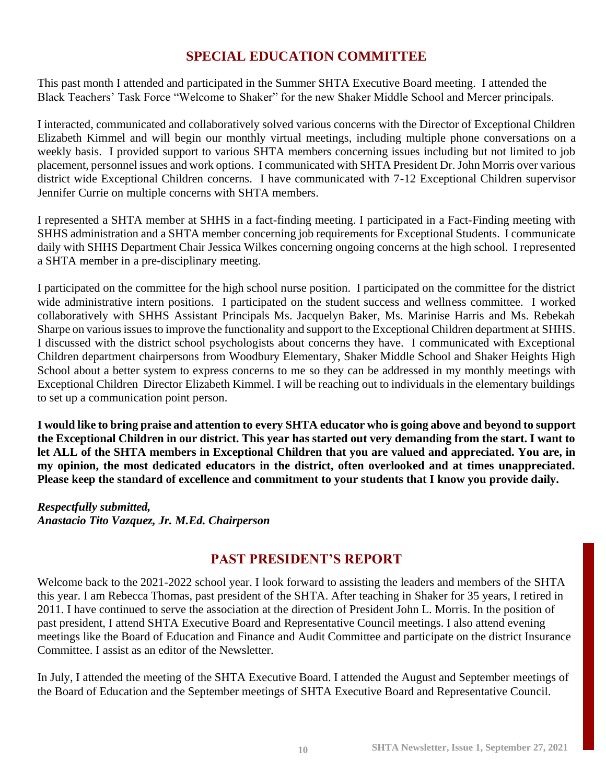### **SPECIAL EDUCATION COMMITTEE**

This past month I attended and participated in the Summer SHTA Executive Board meeting. I attended the Black Teachers' Task Force "Welcome to Shaker" for the new Shaker Middle School and Mercer principals.

I interacted, communicated and collaboratively solved various concerns with the Director of Exceptional Children Elizabeth Kimmel and will begin our monthly virtual meetings, including multiple phone conversations on a weekly basis. I provided support to various SHTA members concerning issues including but not limited to job placement, personnel issues and work options. I communicated with SHTA President Dr. John Morris over various district wide Exceptional Children concerns. I have communicated with 7-12 Exceptional Children supervisor Jennifer Currie on multiple concerns with SHTA members.

I represented a SHTA member at SHHS in a fact-finding meeting. I participated in a Fact-Finding meeting with SHHS administration and a SHTA member concerning job requirements for Exceptional Students. I communicate daily with SHHS Department Chair Jessica Wilkes concerning ongoing concerns at the high school. I represented a SHTA member in a pre-disciplinary meeting.

I participated on the committee for the high school nurse position. I participated on the committee for the district wide administrative intern positions. I participated on the student success and wellness committee. I worked collaboratively with SHHS Assistant Principals Ms. Jacquelyn Baker, Ms. Marinise Harris and Ms. Rebekah Sharpe on various issues to improve the functionality and support to the Exceptional Children department at SHHS. I discussed with the district school psychologists about concerns they have. I communicated with Exceptional Children department chairpersons from Woodbury Elementary, Shaker Middle School and Shaker Heights High School about a better system to express concerns to me so they can be addressed in my monthly meetings with Exceptional Children Director Elizabeth Kimmel. I will be reaching out to individuals in the elementary buildings to set up a communication point person.

**I would like to bring praise and attention to every SHTA educator who is going above and beyond to support the Exceptional Children in our district. This year has started out very demanding from the start. I want to let ALL of the SHTA members in Exceptional Children that you are valued and appreciated. You are, in my opinion, the most dedicated educators in the district, often overlooked and at times unappreciated. Please keep the standard of excellence and commitment to your students that I know you provide daily.**

*Respectfully submitted, Anastacio Tito Vazquez, Jr. M.Ed. Chairperson*

### **PAST PRESIDENT'S REPORT**

Welcome back to the 2021-2022 school year. I look forward to assisting the leaders and members of the SHTA this year. I am Rebecca Thomas, past president of the SHTA. After teaching in Shaker for 35 years, I retired in 2011. I have continued to serve the association at the direction of President John L. Morris. In the position of past president, I attend SHTA Executive Board and Representative Council meetings. I also attend evening meetings like the Board of Education and Finance and Audit Committee and participate on the district Insurance Committee. I assist as an editor of the Newsletter.

In July, I attended the meeting of the SHTA Executive Board. I attended the August and September meetings of the Board of Education and the September meetings of SHTA Executive Board and Representative Council.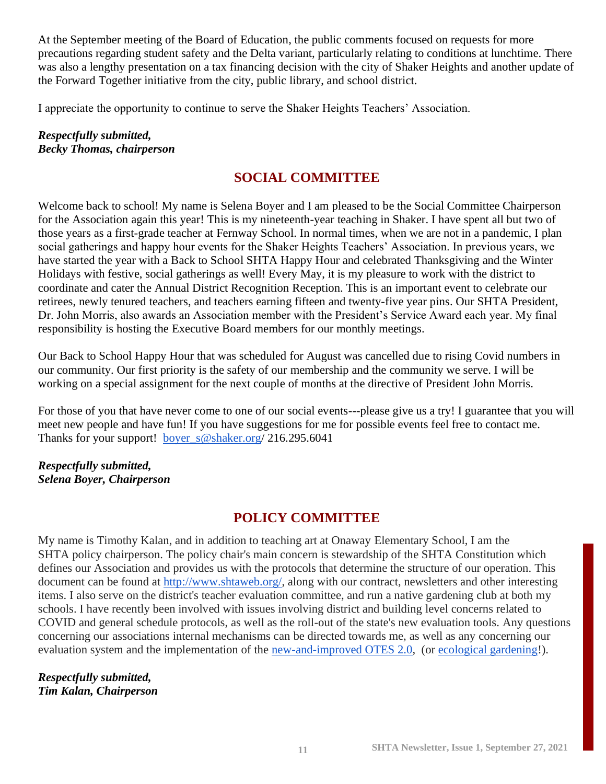At the September meeting of the Board of Education, the public comments focused on requests for more precautions regarding student safety and the Delta variant, particularly relating to conditions at lunchtime. There was also a lengthy presentation on a tax financing decision with the city of Shaker Heights and another update of the Forward Together initiative from the city, public library, and school district.

I appreciate the opportunity to continue to serve the Shaker Heights Teachers' Association.

*Respectfully submitted, Becky Thomas, chairperson*

### **SOCIAL COMMITTEE**

Welcome back to school! My name is Selena Boyer and I am pleased to be the Social Committee Chairperson for the Association again this year! This is my nineteenth-year teaching in Shaker. I have spent all but two of those years as a first-grade teacher at Fernway School. In normal times, when we are not in a pandemic, I plan social gatherings and happy hour events for the Shaker Heights Teachers' Association. In previous years, we have started the year with a Back to School SHTA Happy Hour and celebrated Thanksgiving and the Winter Holidays with festive, social gatherings as well! Every May, it is my pleasure to work with the district to coordinate and cater the Annual District Recognition Reception. This is an important event to celebrate our retirees, newly tenured teachers, and teachers earning fifteen and twenty-five year pins. Our SHTA President, Dr. John Morris, also awards an Association member with the President's Service Award each year. My final responsibility is hosting the Executive Board members for our monthly meetings.

Our Back to School Happy Hour that was scheduled for August was cancelled due to rising Covid numbers in our community. Our first priority is the safety of our membership and the community we serve. I will be working on a special assignment for the next couple of months at the directive of President John Morris.

For those of you that have never come to one of our social events---please give us a try! I guarantee that you will meet new people and have fun! If you have suggestions for me for possible events feel free to contact me. Thanks for your support! [boyer\\_s@shaker.org/](mailto:boyer_s@shaker.org) 216.295.6041

### *Respectfully submitted, Selena Boyer, Chairperson*

### **POLICY COMMITTEE**

My name is Timothy Kalan, and in addition to teaching art at Onaway Elementary School, I am the SHTA policy chairperson. The policy chair's main concern is stewardship of the SHTA Constitution which defines our Association and provides us with the protocols that determine the structure of our operation. This document can be found at [http://www.shtaweb.org/,](http://www.shtaweb.org/) along with our contract, newsletters and other interesting items. I also serve on the district's teacher evaluation committee, and run a native gardening club at both my schools. I have recently been involved with issues involving district and building level concerns related to COVID and general schedule protocols, as well as the roll-out of the state's new evaluation tools. Any questions concerning our associations internal mechanisms can be directed towards me, as well as any concerning our evaluation system and the implementation of the [new-and-improved OTES 2.0,](https://docs.google.com/presentation/d/1wPm_xsDTMM6KvPoBJNRmiu57GkP1AyTQl51-iMB971Q/edit?usp=sharing) (or [ecological gardening!](https://sites.google.com/shaker.org/nativegardenclub)).

*Respectfully submitted, Tim Kalan, Chairperson*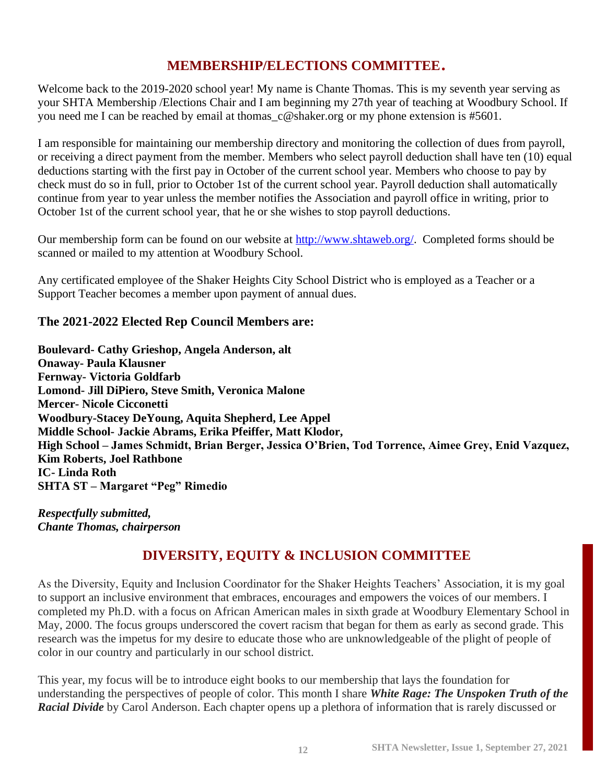### **MEMBERSHIP/ELECTIONS COMMITTEE**.

Welcome back to the 2019-2020 school year! My name is Chante Thomas. This is my seventh year serving as your SHTA Membership /Elections Chair and I am beginning my 27th year of teaching at Woodbury School. If you need me I can be reached by email at thomas\_c@shaker.org or my phone extension is #5601.

I am responsible for maintaining our membership directory and monitoring the collection of dues from payroll, or receiving a direct payment from the member. Members who select payroll deduction shall have ten (10) equal deductions starting with the first pay in October of the current school year. Members who choose to pay by check must do so in full, prior to October 1st of the current school year. Payroll deduction shall automatically continue from year to year unless the member notifies the Association and payroll office in writing, prior to October 1st of the current school year, that he or she wishes to stop payroll deductions.

Our membership form can be found on our website at [http://www.shtaweb.org/.](http://www.shtaweb.org/) Completed forms should be scanned or mailed to my attention at Woodbury School.

Any certificated employee of the Shaker Heights City School District who is employed as a Teacher or a Support Teacher becomes a member upon payment of annual dues.

### **The 2021-2022 Elected Rep Council Members are:**

**Boulevard- Cathy Grieshop, Angela Anderson, alt Onaway- Paula Klausner Fernway- Victoria Goldfarb Lomond- Jill DiPiero, Steve Smith, Veronica Malone Mercer- Nicole Cicconetti Woodbury-Stacey DeYoung, Aquita Shepherd, Lee Appel Middle School- Jackie Abrams, Erika Pfeiffer, Matt Klodor, High School – James Schmidt, Brian Berger, Jessica O'Brien, Tod Torrence, Aimee Grey, Enid Vazquez, Kim Roberts, Joel Rathbone IC- Linda Roth SHTA ST – Margaret "Peg" Rimedio**

*Respectfully submitted, Chante Thomas, chairperson*

### **DIVERSITY, EQUITY & INCLUSION COMMITTEE**

As the Diversity, Equity and Inclusion Coordinator for the Shaker Heights Teachers' Association, it is my goal to support an inclusive environment that embraces, encourages and empowers the voices of our members. I completed my Ph.D. with a focus on African American males in sixth grade at Woodbury Elementary School in May, 2000. The focus groups underscored the covert racism that began for them as early as second grade. This research was the impetus for my desire to educate those who are unknowledgeable of the plight of people of color in our country and particularly in our school district.

This year, my focus will be to introduce eight books to our membership that lays the foundation for understanding the perspectives of people of color. This month I share *White Rage: The Unspoken Truth of the Racial Divide* by Carol Anderson. Each chapter opens up a plethora of information that is rarely discussed or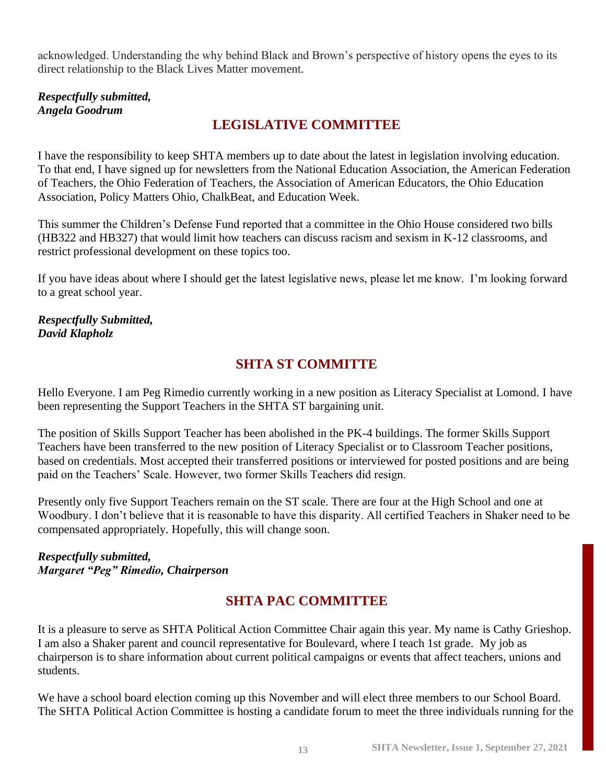acknowledged. Understanding the why behind Black and Brown's perspective of history opens the eyes to its direct relationship to the Black Lives Matter movement.

*Respectfully submitted, Angela Goodrum*

### **LEGISLATIVE COMMITTEE**

I have the responsibility to keep SHTA members up to date about the latest in legislation involving education. To that end, I have signed up for newsletters from the National Education Association, the American Federation of Teachers, the Ohio Federation of Teachers, the Association of American Educators, the Ohio Education Association, Policy Matters Ohio, ChalkBeat, and Education Week.

This summer the Children's Defense Fund reported that a committee in the Ohio House considered two bills (HB322 and HB327) that would limit how teachers can discuss racism and sexism in K-12 classrooms, and restrict professional development on these topics too.

If you have ideas about where I should get the latest legislative news, please let me know. I'm looking forward to a great school year.

*Respectfully Submitted, David Klapholz*

### **SHTA ST COMMITTE**

Hello Everyone. I am Peg Rimedio currently working in a new position as Literacy Specialist at Lomond. I have been representing the Support Teachers in the SHTA ST bargaining unit.

The position of Skills Support Teacher has been abolished in the PK-4 buildings. The former Skills Support Teachers have been transferred to the new position of Literacy Specialist or to Classroom Teacher positions, based on credentials. Most accepted their transferred positions or interviewed for posted positions and are being paid on the Teachers' Scale. However, two former Skills Teachers did resign.

Presently only five Support Teachers remain on the ST scale. There are four at the High School and one at Woodbury. I don't believe that it is reasonable to have this disparity. All certified Teachers in Shaker need to be compensated appropriately. Hopefully, this will change soon.

### *Respectfully submitted, Margaret "Peg" Rimedio, Chairperson*

### **SHTA PAC COMMITTEE**

It is a pleasure to serve as SHTA Political Action Committee Chair again this year. My name is Cathy Grieshop. I am also a Shaker parent and council representative for Boulevard, where I teach 1st grade. My job as chairperson is to share information about current political campaigns or events that affect teachers, unions and students.

We have a school board election coming up this November and will elect three members to our School Board. The SHTA Political Action Committee is hosting a candidate forum to meet the three individuals running for the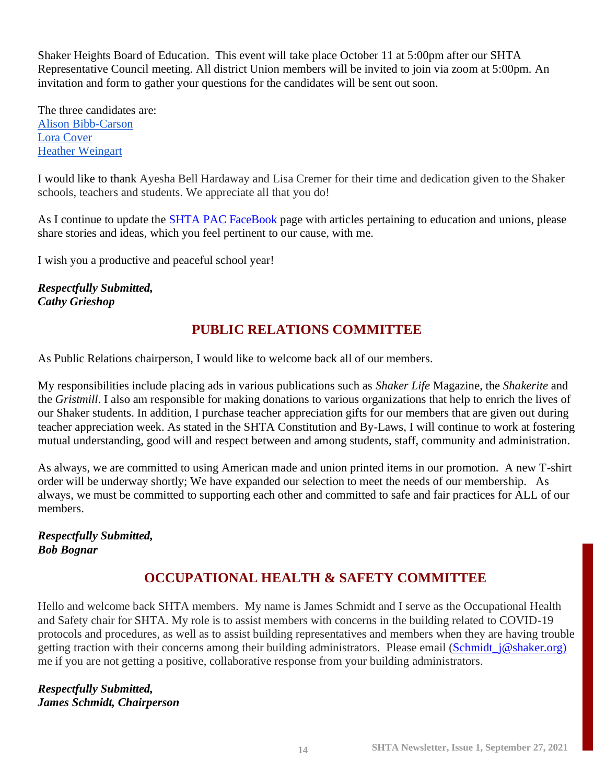Shaker Heights Board of Education. This event will take place October 11 at 5:00pm after our SHTA Representative Council meeting. All district Union members will be invited to join via zoom at 5:00pm. An invitation and form to gather your questions for the candidates will be sent out soon.

The three candidates are: [Alison Bibb-Carson](https://www.facebook.com/AlisonBibbCarsonforShaker) [Lora Cover](https://www.facebook.com/Lora-Cover-for-Shaker-School-Board-100592112261331) [Heather Weingart](https://www.facebook.com/heatherforschoolboard/) 

I would like to thank Ayesha Bell Hardaway and Lisa Cremer for their time and dedication given to the Shaker schools, teachers and students. We appreciate all that you do!

As I continue to update the **SHTA PAC FaceBook** page with articles pertaining to education and unions, please share stories and ideas, which you feel pertinent to our cause, with me.

I wish you a productive and peaceful school year!

*Respectfully Submitted, Cathy Grieshop*

### **PUBLIC RELATIONS COMMITTEE**

As Public Relations chairperson, I would like to welcome back all of our members.

My responsibilities include placing ads in various publications such as *Shaker Life* Magazine, the *Shakerite* and the *Gristmill*. I also am responsible for making donations to various organizations that help to enrich the lives of our Shaker students. In addition, I purchase teacher appreciation gifts for our members that are given out during teacher appreciation week. As stated in the SHTA Constitution and By-Laws, I will continue to work at fostering mutual understanding, good will and respect between and among students, staff, community and administration.

As always, we are committed to using American made and union printed items in our promotion. A new T-shirt order will be underway shortly; We have expanded our selection to meet the needs of our membership. As always, we must be committed to supporting each other and committed to safe and fair practices for ALL of our members.

### *Respectfully Submitted, Bob Bognar*

### **OCCUPATIONAL HEALTH & SAFETY COMMITTEE**

Hello and welcome back SHTA members. My name is James Schmidt and I serve as the Occupational Health and Safety chair for SHTA. My role is to assist members with concerns in the building related to COVID-19 protocols and procedures, as well as to assist building representatives and members when they are having trouble getting traction with their concerns among their building administrators. Please email [\(Schmidt\\_j@shaker.org\)](mailto:Schmidt_j@shaker.org)) me if you are not getting a positive, collaborative response from your building administrators.

### *Respectfully Submitted, James Schmidt, Chairperson*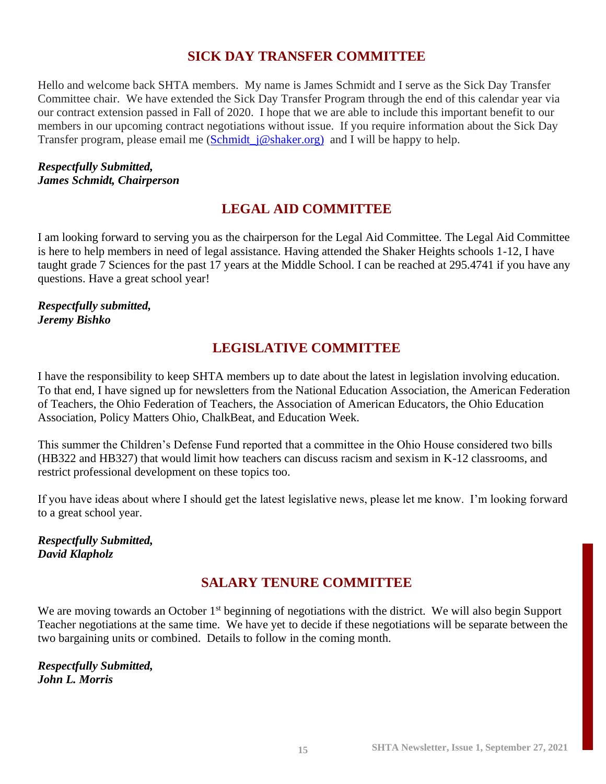### **SICK DAY TRANSFER COMMITTEE**

Hello and welcome back SHTA members. My name is James Schmidt and I serve as the Sick Day Transfer Committee chair. We have extended the Sick Day Transfer Program through the end of this calendar year via our contract extension passed in Fall of 2020. I hope that we are able to include this important benefit to our members in our upcoming contract negotiations without issue. If you require information about the Sick Day Transfer program, please email me (Schmidt  $j@shaker.org$ ) and I will be happy to help.

### *Respectfully Submitted, James Schmidt, Chairperson*

### **LEGAL AID COMMITTEE**

I am looking forward to serving you as the chairperson for the Legal Aid Committee. The Legal Aid Committee is here to help members in need of legal assistance. Having attended the Shaker Heights schools 1-12, I have taught grade 7 Sciences for the past 17 years at the Middle School. I can be reached at 295.4741 if you have any questions. Have a great school year!

### *Respectfully submitted, Jeremy Bishko*

### **LEGISLATIVE COMMITTEE**

I have the responsibility to keep SHTA members up to date about the latest in legislation involving education. To that end, I have signed up for newsletters from the National Education Association, the American Federation of Teachers, the Ohio Federation of Teachers, the Association of American Educators, the Ohio Education Association, Policy Matters Ohio, ChalkBeat, and Education Week.

This summer the Children's Defense Fund reported that a committee in the Ohio House considered two bills (HB322 and HB327) that would limit how teachers can discuss racism and sexism in K-12 classrooms, and restrict professional development on these topics too.

If you have ideas about where I should get the latest legislative news, please let me know. I'm looking forward to a great school year.

### *Respectfully Submitted, David Klapholz*

### **SALARY TENURE COMMITTEE**

We are moving towards an October 1<sup>st</sup> beginning of negotiations with the district. We will also begin Support Teacher negotiations at the same time. We have yet to decide if these negotiations will be separate between the two bargaining units or combined. Details to follow in the coming month.

*Respectfully Submitted, John L. Morris*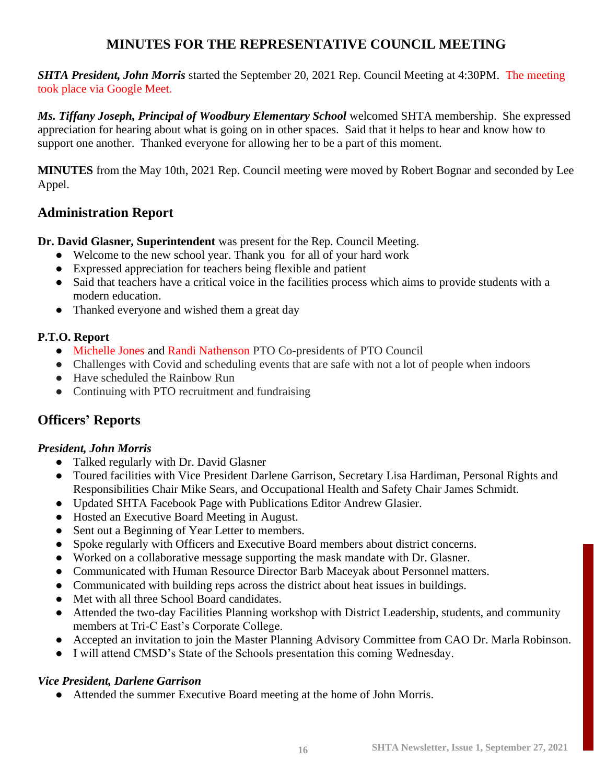### **MINUTES FOR THE REPRESENTATIVE COUNCIL MEETING**

*SHTA President, John Morris* started the September 20, 2021 Rep. Council Meeting at 4:30PM. The meeting took place via Google Meet.

*Ms. Tiffany Joseph, Principal of Woodbury Elementary School* welcomed SHTA membership. She expressed appreciation for hearing about what is going on in other spaces. Said that it helps to hear and know how to support one another. Thanked everyone for allowing her to be a part of this moment.

**MINUTES** from the May 10th, 2021 Rep. Council meeting were moved by Robert Bognar and seconded by Lee Appel.

### **Administration Report**

**Dr. David Glasner, Superintendent** was present for the Rep. Council Meeting.

- Welcome to the new school year. Thank you for all of your hard work
- Expressed appreciation for teachers being flexible and patient
- Said that teachers have a critical voice in the facilities process which aims to provide students with a modern education.
- Thanked everyone and wished them a great day

### **P.T.O. Report**

- Michelle Jones and Randi Nathenson PTO Co-presidents of PTO Council
- Challenges with Covid and scheduling events that are safe with not a lot of people when indoors
- Have scheduled the Rainbow Run
- Continuing with PTO recruitment and fundraising

### **Officers' Reports**

### *President, John Morris*

- Talked regularly with Dr. David Glasner
- Toured facilities with Vice President Darlene Garrison, Secretary Lisa Hardiman, Personal Rights and Responsibilities Chair Mike Sears, and Occupational Health and Safety Chair James Schmidt.
- Updated SHTA Facebook Page with Publications Editor Andrew Glasier.
- Hosted an Executive Board Meeting in August.
- Sent out a Beginning of Year Letter to members.
- Spoke regularly with Officers and Executive Board members about district concerns.
- Worked on a collaborative message supporting the mask mandate with Dr. Glasner.
- Communicated with Human Resource Director Barb Maceyak about Personnel matters.
- Communicated with building reps across the district about heat issues in buildings.
- Met with all three School Board candidates.
- Attended the two-day Facilities Planning workshop with District Leadership, students, and community members at Tri-C East's Corporate College.
- Accepted an invitation to join the Master Planning Advisory Committee from CAO Dr. Marla Robinson.
- I will attend CMSD's State of the Schools presentation this coming Wednesday.

### *Vice President, Darlene Garrison*

● Attended the summer Executive Board meeting at the home of John Morris.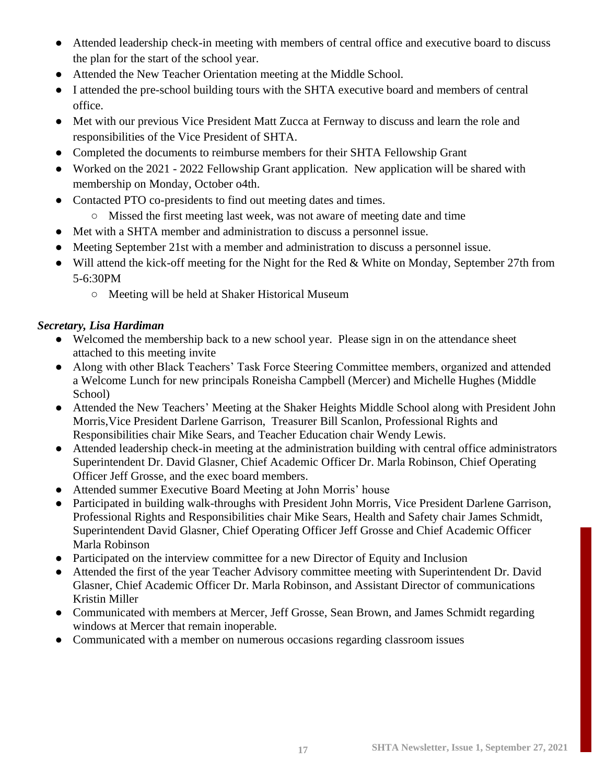- Attended leadership check-in meeting with members of central office and executive board to discuss the plan for the start of the school year.
- Attended the New Teacher Orientation meeting at the Middle School.
- I attended the pre-school building tours with the SHTA executive board and members of central office.
- Met with our previous Vice President Matt Zucca at Fernway to discuss and learn the role and responsibilities of the Vice President of SHTA.
- Completed the documents to reimburse members for their SHTA Fellowship Grant
- Worked on the 2021 2022 Fellowship Grant application. New application will be shared with membership on Monday, October o4th.
- Contacted PTO co-presidents to find out meeting dates and times.
	- Missed the first meeting last week, was not aware of meeting date and time
- Met with a SHTA member and administration to discuss a personnel issue.
- Meeting September 21st with a member and administration to discuss a personnel issue.
- Will attend the kick-off meeting for the Night for the Red & White on Monday, September 27th from 5-6:30PM
	- Meeting will be held at Shaker Historical Museum

### *Secretary, Lisa Hardiman*

- Welcomed the membership back to a new school year. Please sign in on the attendance sheet attached to this meeting invite
- Along with other Black Teachers' Task Force Steering Committee members, organized and attended a Welcome Lunch for new principals Roneisha Campbell (Mercer) and Michelle Hughes (Middle School)
- Attended the New Teachers' Meeting at the Shaker Heights Middle School along with President John Morris,Vice President Darlene Garrison, Treasurer Bill Scanlon, Professional Rights and Responsibilities chair Mike Sears, and Teacher Education chair Wendy Lewis.
- Attended leadership check-in meeting at the administration building with central office administrators Superintendent Dr. David Glasner, Chief Academic Officer Dr. Marla Robinson, Chief Operating Officer Jeff Grosse, and the exec board members.
- Attended summer Executive Board Meeting at John Morris' house
- Participated in building walk-throughs with President John Morris, Vice President Darlene Garrison, Professional Rights and Responsibilities chair Mike Sears, Health and Safety chair James Schmidt, Superintendent David Glasner, Chief Operating Officer Jeff Grosse and Chief Academic Officer Marla Robinson
- Participated on the interview committee for a new Director of Equity and Inclusion
- Attended the first of the year Teacher Advisory committee meeting with Superintendent Dr. David Glasner, Chief Academic Officer Dr. Marla Robinson, and Assistant Director of communications Kristin Miller
- Communicated with members at Mercer, Jeff Grosse, Sean Brown, and James Schmidt regarding windows at Mercer that remain inoperable.
- Communicated with a member on numerous occasions regarding classroom issues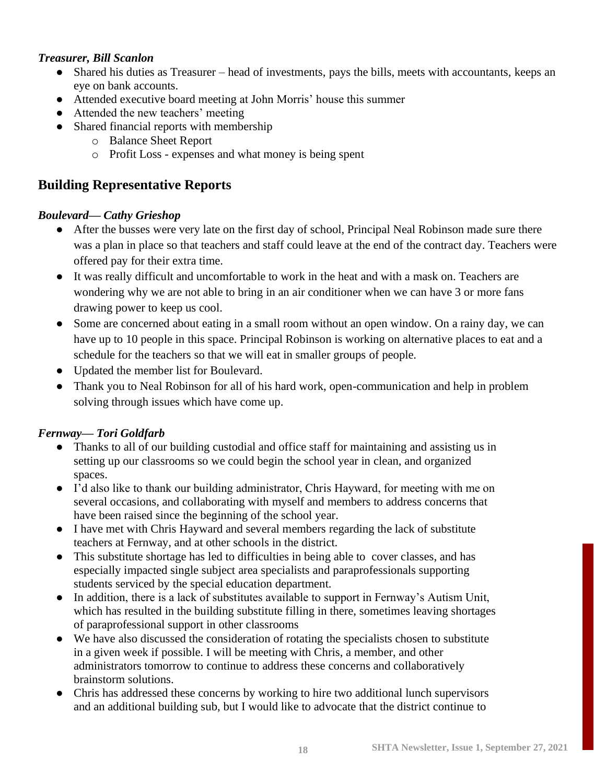### *Treasurer, Bill Scanlon*

- Shared his duties as Treasurer head of investments, pays the bills, meets with accountants, keeps an eye on bank accounts.
- Attended executive board meeting at John Morris' house this summer
- Attended the new teachers' meeting
- Shared financial reports with membership
	- o Balance Sheet Report
	- o Profit Loss expenses and what money is being spent

### 1. **Building Representative Reports**

### *B Boulevard— Cathy Grieshop*

- After the busses were very late on the first day of school, Principal Neal Robinson made sure there was a plan in place so that teachers and staff could leave at the end of the contract day. Teachers were offered pay for their extra time.
- It was really difficult and uncomfortable to work in the heat and with a mask on. Teachers are wondering why we are not able to bring in an air conditioner when we can have 3 or more fans drawing power to keep us cool.
- Some are concerned about eating in a small room without an open window. On a rainy day, we can have up to 10 people in this space. Principal Robinson is working on alternative places to eat and a schedule for the teachers so that we will eat in smaller groups of people.
- Updated the member list for Boulevard.
- Thank you to Neal Robinson for all of his hard work, open-communication and help in problem solving through issues which have come up.

### *Fernway— Tori Goldfarb*

- Thanks to all of our building custodial and office staff for maintaining and assisting us in setting up our classrooms so we could begin the school year in clean, and organized spaces.
- I'd also like to thank our building administrator, Chris Hayward, for meeting with me on several occasions, and collaborating with myself and members to address concerns that have been raised since the beginning of the school year.
- I have met with Chris Hayward and several members regarding the lack of substitute teachers at Fernway, and at other schools in the district.
- This substitute shortage has led to difficulties in being able to cover classes, and has especially impacted single subject area specialists and paraprofessionals supporting students serviced by the special education department.
- In addition, there is a lack of substitutes available to support in Fernway's Autism Unit, which has resulted in the building substitute filling in there, sometimes leaving shortages of paraprofessional support in other classrooms
- We have also discussed the consideration of rotating the specialists chosen to substitute in a given week if possible. I will be meeting with Chris, a member, and other administrators tomorrow to continue to address these concerns and collaboratively brainstorm solutions.
- Chris has addressed these concerns by working to hire two additional lunch supervisors and an additional building sub, but I would like to advocate that the district continue to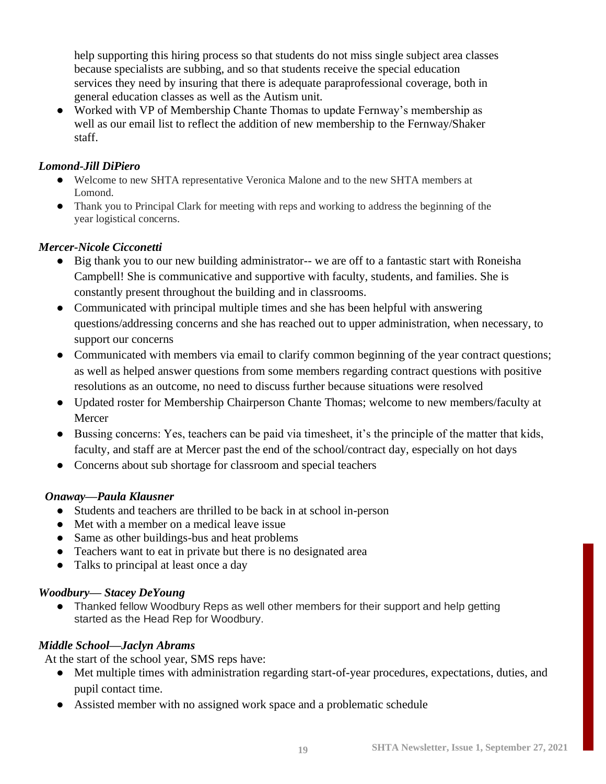help supporting this hiring process so that students do not miss single subject area classes because specialists are subbing, and so that students receive the special education services they need by insuring that there is adequate paraprofessional coverage, both in general education classes as well as the Autism unit.

• Worked with VP of Membership Chante Thomas to update Fernway's membership as well as our email list to reflect the addition of new membership to the Fernway/Shaker staff.

### *Lomond-Jill DiPiero*

- Welcome to new SHTA representative Veronica Malone and to the new SHTA members at Lomond.
- Thank you to Principal Clark for meeting with reps and working to address the beginning of the year logistical concerns.

### *Mercer-Nicole Cicconetti*

- Big thank you to our new building administrator-- we are off to a fantastic start with Roneisha Campbell! She is communicative and supportive with faculty, students, and families. She is constantly present throughout the building and in classrooms.
- Communicated with principal multiple times and she has been helpful with answering questions/addressing concerns and she has reached out to upper administration, when necessary, to support our concerns
- Communicated with members via email to clarify common beginning of the year contract questions; as well as helped answer questions from some members regarding contract questions with positive resolutions as an outcome, no need to discuss further because situations were resolved
- Updated roster for Membership Chairperson Chante Thomas; welcome to new members/faculty at Mercer
- Bussing concerns: Yes, teachers can be paid via timesheet, it's the principle of the matter that kids, faculty, and staff are at Mercer past the end of the school/contract day, especially on hot days
- Concerns about sub shortage for classroom and special teachers

### *Onaway—Paula Klausner*

- Students and teachers are thrilled to be back in at school in-person
- Met with a member on a medical leave issue
- Same as other buildings-bus and heat problems
- Teachers want to eat in private but there is no designated area
- Talks to principal at least once a day

### *Woodbury— Stacey DeYoung*

● Thanked fellow Woodbury Reps as well other members for their support and help getting started as the Head Rep for Woodbury.

### *Middle School—Jaclyn Abrams*

At the start of the school year, SMS reps have:

- Met multiple times with administration regarding start-of-year procedures, expectations, duties, and pupil contact time.
- Assisted member with no assigned work space and a problematic schedule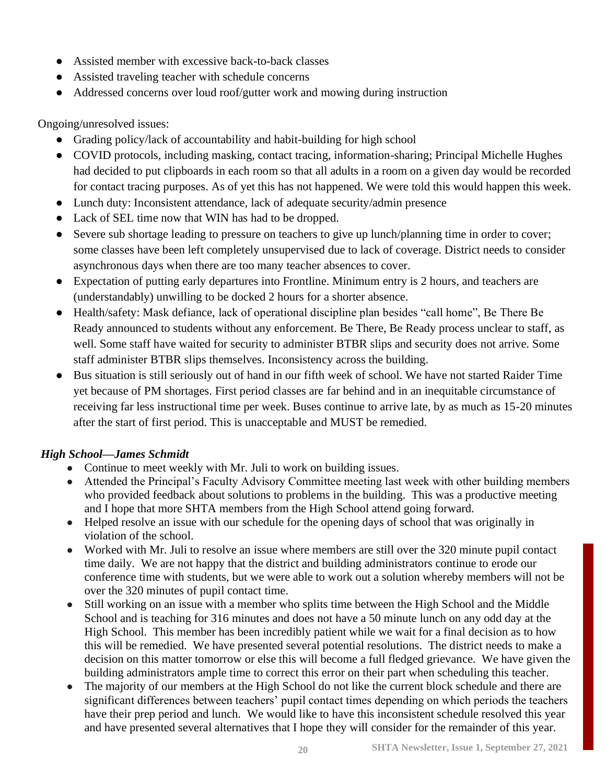- Assisted member with excessive back-to-back classes
- Assisted traveling teacher with schedule concerns
- Addressed concerns over loud roof/gutter work and mowing during instruction

Ongoing/unresolved issues:

- Grading policy/lack of accountability and habit-building for high school
- COVID protocols, including masking, contact tracing, information-sharing; Principal Michelle Hughes had decided to put clipboards in each room so that all adults in a room on a given day would be recorded for contact tracing purposes. As of yet this has not happened. We were told this would happen this week.
- Lunch duty: Inconsistent attendance, lack of adequate security/admin presence
- Lack of SEL time now that WIN has had to be dropped.
- Severe sub shortage leading to pressure on teachers to give up lunch/planning time in order to cover; some classes have been left completely unsupervised due to lack of coverage. District needs to consider asynchronous days when there are too many teacher absences to cover.
- Expectation of putting early departures into Frontline. Minimum entry is 2 hours, and teachers are (understandably) unwilling to be docked 2 hours for a shorter absence.
- Health/safety: Mask defiance, lack of operational discipline plan besides "call home", Be There Be Ready announced to students without any enforcement. Be There, Be Ready process unclear to staff, as well. Some staff have waited for security to administer BTBR slips and security does not arrive. Some staff administer BTBR slips themselves. Inconsistency across the building.
- Bus situation is still seriously out of hand in our fifth week of school. We have not started Raider Time yet because of PM shortages. First period classes are far behind and in an inequitable circumstance of receiving far less instructional time per week. Buses continue to arrive late, by as much as 15-20 minutes after the start of first period. This is unacceptable and MUST be remedied.

### *High School—James Schmidt*

- Continue to meet weekly with Mr. Juli to work on building issues.
- Attended the Principal's Faculty Advisory Committee meeting last week with other building members who provided feedback about solutions to problems in the building. This was a productive meeting and I hope that more SHTA members from the High School attend going forward.
- Helped resolve an issue with our schedule for the opening days of school that was originally in violation of the school.
- Worked with Mr. Juli to resolve an issue where members are still over the 320 minute pupil contact time daily. We are not happy that the district and building administrators continue to erode our conference time with students, but we were able to work out a solution whereby members will not be over the 320 minutes of pupil contact time.
- Still working on an issue with a member who splits time between the High School and the Middle School and is teaching for 316 minutes and does not have a 50 minute lunch on any odd day at the High School. This member has been incredibly patient while we wait for a final decision as to how this will be remedied. We have presented several potential resolutions. The district needs to make a decision on this matter tomorrow or else this will become a full fledged grievance. We have given the building administrators ample time to correct this error on their part when scheduling this teacher.
- The majority of our members at the High School do not like the current block schedule and there are significant differences between teachers' pupil contact times depending on which periods the teachers have their prep period and lunch. We would like to have this inconsistent schedule resolved this year and have presented several alternatives that I hope they will consider for the remainder of this year.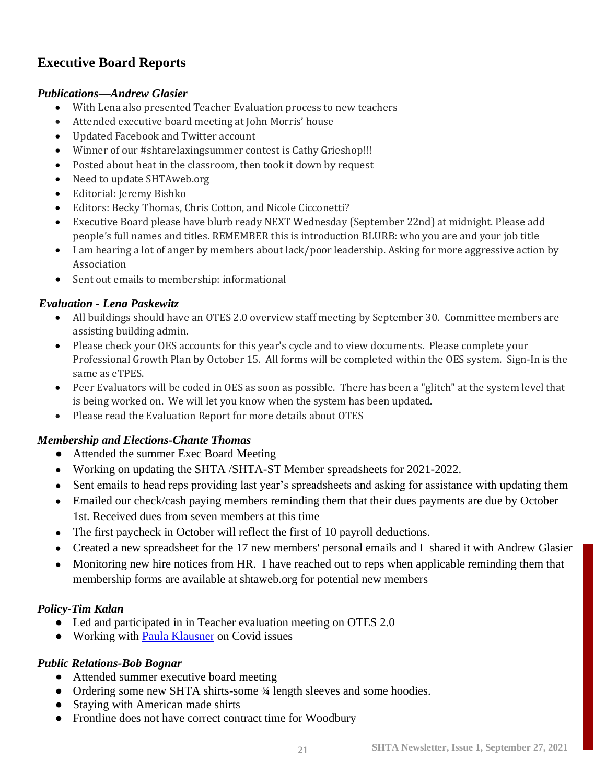### **Executive Board Reports**

### *Publications—Andrew Glasier*

- With Lena also presented Teacher Evaluation process to new teachers
- Attended executive board meeting at John Morris' house
- Updated Facebook and Twitter account
- Winner of our #shtarelaxingsummer contest is Cathy Grieshop!!!
- Posted about heat in the classroom, then took it down by request
- Need to update SHTAweb.org
- Editorial: Jeremy Bishko
- Editors: Becky Thomas, Chris Cotton, and Nicole Cicconetti?
- Executive Board please have blurb ready NEXT Wednesday (September 22nd) at midnight. Please add people's full names and titles. REMEMBER this is introduction BLURB: who you are and your job title
- I am hearing a lot of anger by members about lack/poor leadership. Asking for more aggressive action by Association
- Sent out emails to membership: informational

### *Evaluation - Lena Paskewitz*

- All buildings should have an OTES 2.0 overview staff meeting by September 30. Committee members are assisting building admin.
- Please check your OES accounts for this year's cycle and to view documents. Please complete your Professional Growth Plan by October 15. All forms will be completed within the OES system. Sign-In is the same as eTPES.
- Peer Evaluators will be coded in OES as soon as possible. There has been a "glitch" at the system level that is being worked on. We will let you know when the system has been updated.
- Please read the Evaluation Report for more details about OTES

### *Membership and Elections-Chante Thomas*

- Attended the summer Exec Board Meeting
- Working on updating the SHTA /SHTA-ST Member spreadsheets for 2021-2022.
- Sent emails to head reps providing last year's spreadsheets and asking for assistance with updating them
- Emailed our check/cash paying members reminding them that their dues payments are due by October 1st. Received dues from seven members at this time
- The first paycheck in October will reflect the first of 10 payroll deductions.
- Created a new spreadsheet for the 17 new members' personal emails and I shared it with Andrew Glasier
- Monitoring new hire notices from HR. I have reached out to reps when applicable reminding them that membership forms are available at shtaweb.org for potential new members

### *Policy-Tim Kalan*

- Led and participated in in Teacher evaluation meeting on OTES 2.0
- Working with **Paula Klausner** on Covid issues

### *Public Relations-Bob Bognar*

- Attended summer executive board meeting
- Ordering some new SHTA shirts-some 3⁄4 length sleeves and some hoodies.
- Staying with American made shirts
- Frontline does not have correct contract time for Woodbury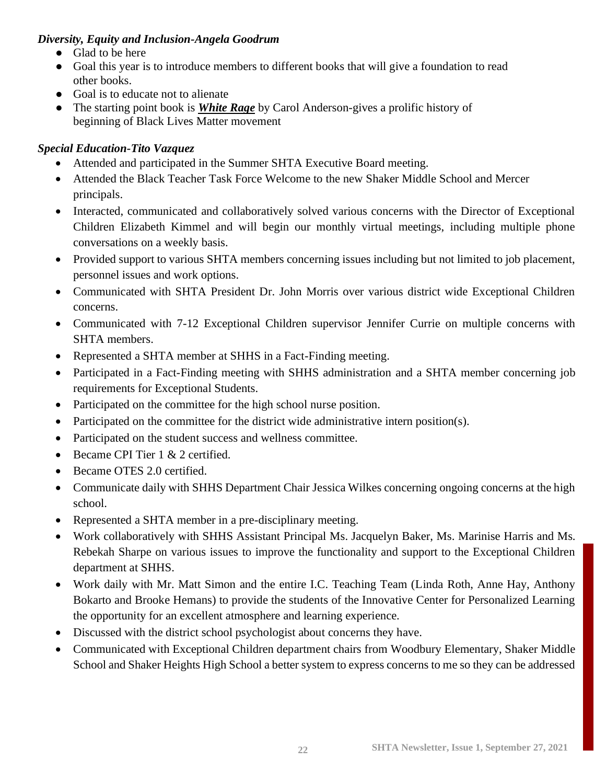### *Diversity, Equity and Inclusion-Angela Goodrum*

- Glad to be here
- Goal this year is to introduce members to different books that will give a foundation to read other books.
- Goal is to educate not to alienate
- The starting point book is *White Rage* by Carol Anderson-gives a prolific history of beginning of Black Lives Matter movement

### *Special Education-Tito Vazquez*

- Attended and participated in the Summer SHTA Executive Board meeting.
- Attended the Black Teacher Task Force Welcome to the new Shaker Middle School and Mercer principals.
- Interacted, communicated and collaboratively solved various concerns with the Director of Exceptional Children Elizabeth Kimmel and will begin our monthly virtual meetings, including multiple phone conversations on a weekly basis.
- Provided support to various SHTA members concerning issues including but not limited to job placement, personnel issues and work options.
- Communicated with SHTA President Dr. John Morris over various district wide Exceptional Children concerns.
- Communicated with 7-12 Exceptional Children supervisor Jennifer Currie on multiple concerns with SHTA members.
- Represented a SHTA member at SHHS in a Fact-Finding meeting.
- Participated in a Fact-Finding meeting with SHHS administration and a SHTA member concerning job requirements for Exceptional Students.
- Participated on the committee for the high school nurse position.
- Participated on the committee for the district wide administrative intern position(s).
- Participated on the student success and wellness committee.
- Became CPI Tier 1 & 2 certified.
- Became OTES 2.0 certified.
- Communicate daily with SHHS Department Chair Jessica Wilkes concerning ongoing concerns at the high school.
- Represented a SHTA member in a pre-disciplinary meeting.
- Work collaboratively with SHHS Assistant Principal Ms. Jacquelyn Baker, Ms. Marinise Harris and Ms. Rebekah Sharpe on various issues to improve the functionality and support to the Exceptional Children department at SHHS.
- Work daily with Mr. Matt Simon and the entire I.C. Teaching Team (Linda Roth, Anne Hay, Anthony Bokarto and Brooke Hemans) to provide the students of the Innovative Center for Personalized Learning the opportunity for an excellent atmosphere and learning experience.
- Discussed with the district school psychologist about concerns they have.
- Communicated with Exceptional Children department chairs from Woodbury Elementary, Shaker Middle School and Shaker Heights High School a better system to express concerns to me so they can be addressed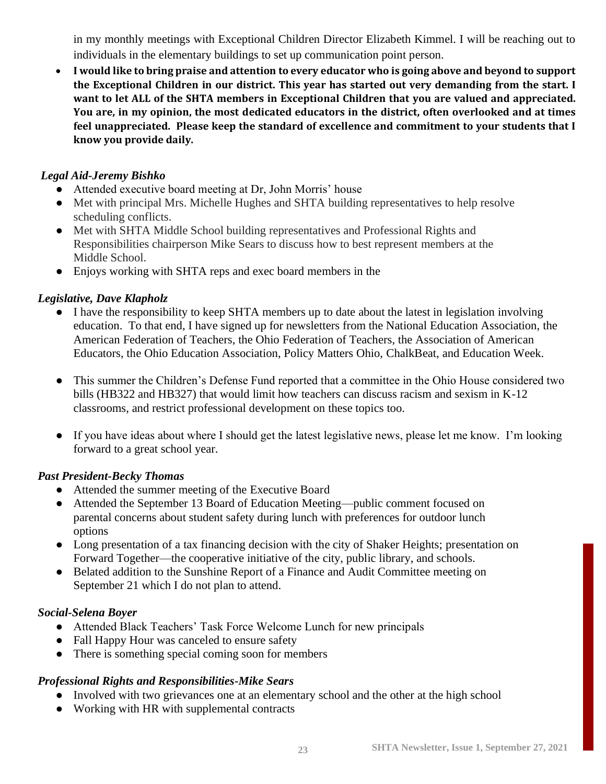in my monthly meetings with Exceptional Children Director Elizabeth Kimmel. I will be reaching out to individuals in the elementary buildings to set up communication point person.

• **I would like to bring praise and attention to every educator who is going above and beyond to support the Exceptional Children in our district. This year has started out very demanding from the start. I want to let ALL of the SHTA members in Exceptional Children that you are valued and appreciated. You are, in my opinion, the most dedicated educators in the district, often overlooked and at times feel unappreciated. Please keep the standard of excellence and commitment to your students that I know you provide daily.**

### *Legal Aid-Jeremy Bishko*

- Attended executive board meeting at Dr, John Morris' house
- Met with principal Mrs. Michelle Hughes and SHTA building representatives to help resolve scheduling conflicts.
- Met with SHTA Middle School building representatives and Professional Rights and Responsibilities chairperson Mike Sears to discuss how to best represent members at the Middle School.
- Enjoys working with SHTA reps and exec board members in the

### *Legislative, Dave Klapholz*

- I have the responsibility to keep SHTA members up to date about the latest in legislation involving education. To that end, I have signed up for newsletters from the National Education Association, the American Federation of Teachers, the Ohio Federation of Teachers, the Association of American Educators, the Ohio Education Association, Policy Matters Ohio, ChalkBeat, and Education Week.
- This summer the Children's Defense Fund reported that a committee in the Ohio House considered two bills (HB322 and HB327) that would limit how teachers can discuss racism and sexism in K-12 classrooms, and restrict professional development on these topics too.
- If you have ideas about where I should get the latest legislative news, please let me know. I'm looking forward to a great school year.

### *Past President-Becky Thomas*

- Attended the summer meeting of the Executive Board
- Attended the September 13 Board of Education Meeting—public comment focused on parental concerns about student safety during lunch with preferences for outdoor lunch options
- Long presentation of a tax financing decision with the city of Shaker Heights; presentation on Forward Together—the cooperative initiative of the city, public library, and schools.
- Belated addition to the Sunshine Report of a Finance and Audit Committee meeting on September 21 which I do not plan to attend.

### *Social-Selena Boyer*

- Attended Black Teachers' Task Force Welcome Lunch for new principals
- Fall Happy Hour was canceled to ensure safety
- There is something special coming soon for members

### *Professional Rights and Responsibilities-Mike Sears*

- Involved with two grievances one at an elementary school and the other at the high school
- Working with HR with supplemental contracts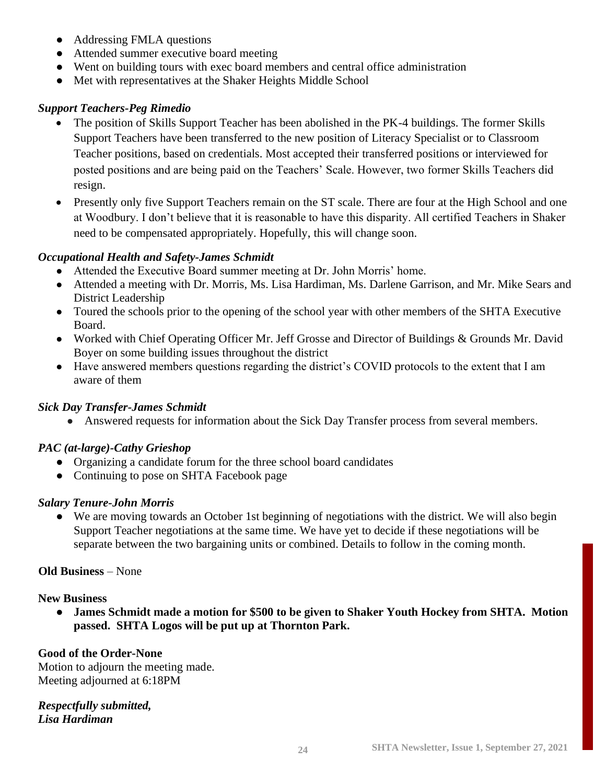- Addressing FMLA questions
- Attended summer executive board meeting
- Went on building tours with exec board members and central office administration
- Met with representatives at the Shaker Heights Middle School

### *Support Teachers-Peg Rimedio*

- The position of Skills Support Teacher has been abolished in the PK-4 buildings. The former Skills Support Teachers have been transferred to the new position of Literacy Specialist or to Classroom Teacher positions, based on credentials. Most accepted their transferred positions or interviewed for posted positions and are being paid on the Teachers' Scale. However, two former Skills Teachers did resign.
- Presently only five Support Teachers remain on the ST scale. There are four at the High School and one at Woodbury. I don't believe that it is reasonable to have this disparity. All certified Teachers in Shaker need to be compensated appropriately. Hopefully, this will change soon.

### *Occupational Health and Safety-James Schmidt*

- Attended the Executive Board summer meeting at Dr. John Morris' home.
- Attended a meeting with Dr. Morris, Ms. Lisa Hardiman, Ms. Darlene Garrison, and Mr. Mike Sears and District Leadership
- Toured the schools prior to the opening of the school year with other members of the SHTA Executive Board.
- Worked with Chief Operating Officer Mr. Jeff Grosse and Director of Buildings & Grounds Mr. David Boyer on some building issues throughout the district
- Have answered members questions regarding the district's COVID protocols to the extent that I am aware of them

### *Sick Day Transfer-James Schmidt*

• Answered requests for information about the Sick Day Transfer process from several members.

### *PAC (at-large)-Cathy Grieshop*

- Organizing a candidate forum for the three school board candidates
- Continuing to pose on SHTA Facebook page

### *Salary Tenure-John Morris*

● We are moving towards an October 1st beginning of negotiations with the district. We will also begin Support Teacher negotiations at the same time. We have yet to decide if these negotiations will be separate between the two bargaining units or combined. Details to follow in the coming month.

### **Old Business** – None

### **New Business**

● **James Schmidt made a motion for \$500 to be given to Shaker Youth Hockey from SHTA. Motion passed. SHTA Logos will be put up at Thornton Park.**

### **Good of the Order-None**

Motion to adjourn the meeting made. Meeting adjourned at 6:18PM

*Respectfully submitted, Lisa Hardiman*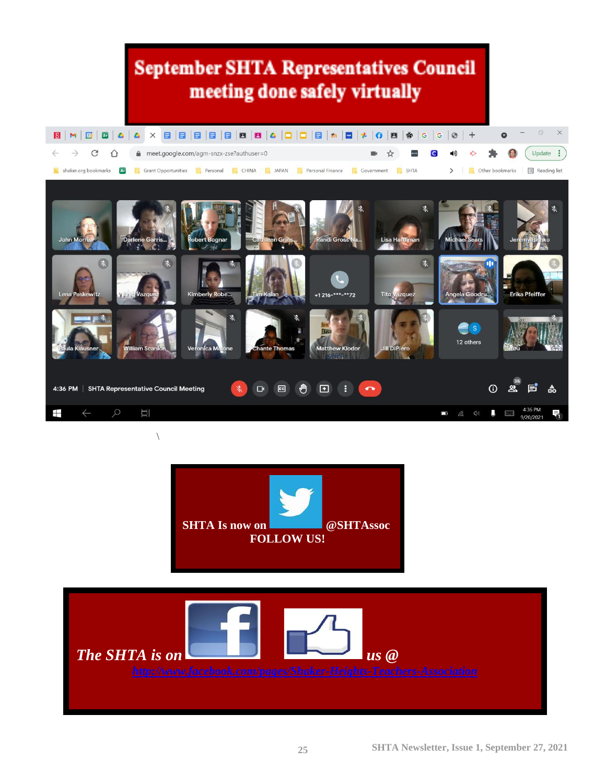# **September SHTA Representatives Council** meeting done safely virtually





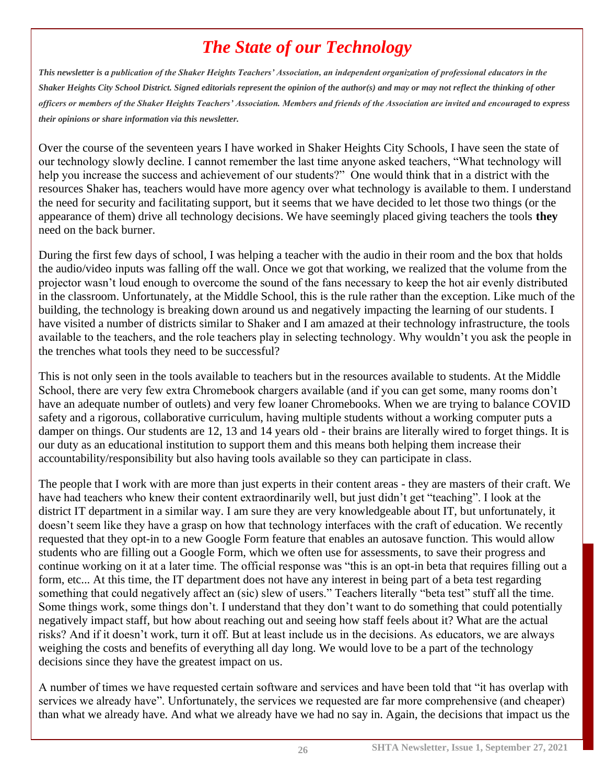# *The State of our Technology*

*This newsletter is a publication of the Shaker Heights Teachers' Association, an independent organization of professional educators in the Shaker Heights City School District. Signed editorials represent the opinion of the author(s) and may or may not reflect the thinking of other officers or members of the Shaker Heights Teachers' Association. Members and friends of the Association are invited and encouraged to express their opinions or share information via this newsletter.*

Over the course of the seventeen years I have worked in Shaker Heights City Schools, I have seen the state of our technology slowly decline. I cannot remember the last time anyone asked teachers, "What technology will help you increase the success and achievement of our students?" One would think that in a district with the resources Shaker has, teachers would have more agency over what technology is available to them. I understand the need for security and facilitating support, but it seems that we have decided to let those two things (or the appearance of them) drive all technology decisions. We have seemingly placed giving teachers the tools **they** need on the back burner.

During the first few days of school, I was helping a teacher with the audio in their room and the box that holds the audio/video inputs was falling off the wall. Once we got that working, we realized that the volume from the projector wasn't loud enough to overcome the sound of the fans necessary to keep the hot air evenly distributed in the classroom. Unfortunately, at the Middle School, this is the rule rather than the exception. Like much of the building, the technology is breaking down around us and negatively impacting the learning of our students. I have visited a number of districts similar to Shaker and I am amazed at their technology infrastructure, the tools available to the teachers, and the role teachers play in selecting technology. Why wouldn't you ask the people in the trenches what tools they need to be successful?

This is not only seen in the tools available to teachers but in the resources available to students. At the Middle School, there are very few extra Chromebook chargers available (and if you can get some, many rooms don't have an adequate number of outlets) and very few loaner Chromebooks. When we are trying to balance COVID safety and a rigorous, collaborative curriculum, having multiple students without a working computer puts a damper on things. Our students are 12, 13 and 14 years old - their brains are literally wired to forget things. It is our duty as an educational institution to support them and this means both helping them increase their accountability/responsibility but also having tools available so they can participate in class.

The people that I work with are more than just experts in their content areas - they are masters of their craft. We have had teachers who knew their content extraordinarily well, but just didn't get "teaching". I look at the district IT department in a similar way. I am sure they are very knowledgeable about IT, but unfortunately, it doesn't seem like they have a grasp on how that technology interfaces with the craft of education. We recently requested that they opt-in to a new Google Form feature that enables an autosave function. This would allow students who are filling out a Google Form, which we often use for assessments, to save their progress and continue working on it at a later time. The official response was "this is an opt-in beta that requires filling out a form, etc... At this time, the IT department does not have any interest in being part of a beta test regarding something that could negatively affect an (sic) slew of users." Teachers literally "beta test" stuff all the time. Some things work, some things don't. I understand that they don't want to do something that could potentially negatively impact staff, but how about reaching out and seeing how staff feels about it? What are the actual risks? And if it doesn't work, turn it off. But at least include us in the decisions. As educators, we are always weighing the costs and benefits of everything all day long. We would love to be a part of the technology decisions since they have the greatest impact on us.

A number of times we have requested certain software and services and have been told that "it has overlap with services we already have". Unfortunately, the services we requested are far more comprehensive (and cheaper) than what we already have. And what we already have we had no say in. Again, the decisions that impact us the